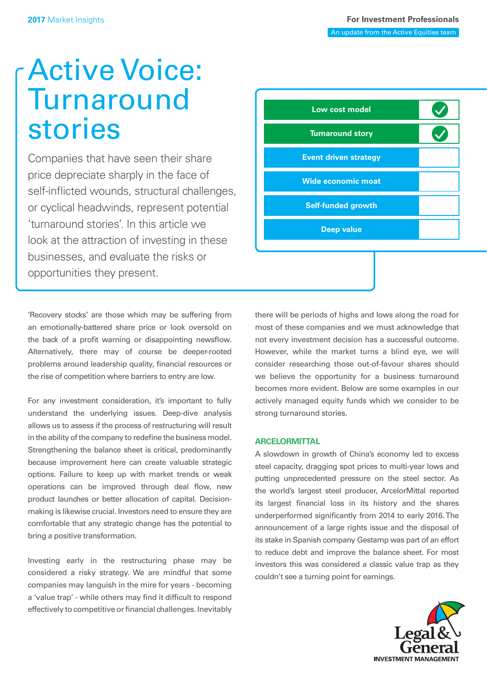# Active Voice: **Turnaround** stories

Companies that have seen their share price depreciate sharply in the face of self-inficted wounds, structural challenges, or cyclical headwinds, represent potential 'turnaround stories'. In this article we look at the attraction of investing in these businesses, and evaluate the risks or opportunities they present.



'Recovery stocks' are those which may be suffering from an emotionally-battered share price or look oversold on the back of a profit warning or disappointing newsflow. Alternatively, there may of course be deeper-rooted problems around leadership quality, financial resources or the rise of competition where barriers to entry are low.

For any investment consideration, it's important to fully understand the underlying issues. Deep-dive analysis allows us to assess if the process of restructuring will result in the ability of the company to redefine the business model. Strengthening the balance sheet is critical, predominantly because improvement here can create valuable strategic options. Failure to keep up with market trends or weak operations can be improved through deal flow, new product launches or better allocation of capital. Decisionmaking is likewise crucial. Investors need to ensure they are comfortable that any strategic change has the potential to bring a positive transformation.

Investing early in the restructuring phase may be considered a risky strategy. We are mindful that some companies may languish in the mire for years - becoming a 'value trap' - while others may find it difficult to respond effectively to competitive or financial challenges. Inevitably there will be periods of highs and lows along the road for most of these companies and we must acknowledge that not every investment decision has a successful outcome. However, while the market turns a blind eye, we will consider researching those out-of-favour shares should we believe the opportunity for a business turnaround becomes more evident. Below are some examples in our actively managed equity funds which we consider to be strong turnaround stories.

## **ARCELORMITTAL**

A slowdown in growth of China's economy led to excess steel capacity, dragging spot prices to multi-year lows and putting unprecedented pressure on the steel sector. As the world's largest steel producer, ArcelorMittal reported its largest financial loss in its history and the shares underperformed significantly from 2014 to early 2016. The announcement of a large rights issue and the disposal of its stake in Spanish company Gestamp was part of an effort to reduce debt and improve the balance sheet. For most investors this was considered a classic value trap as they couldn't see a turning point for earnings.

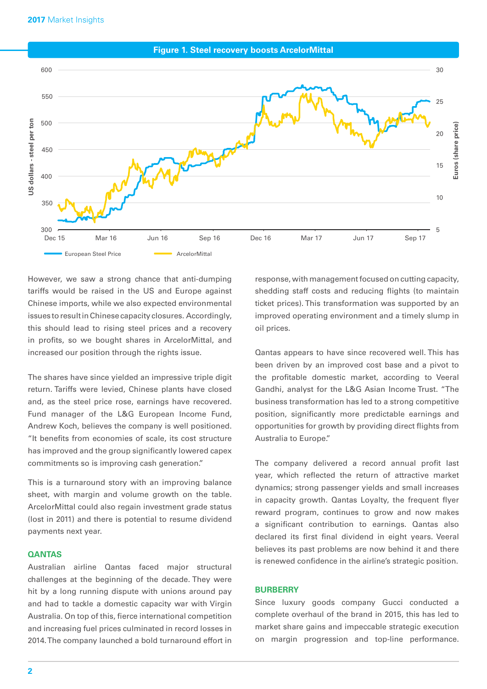**Figure 1. Steel recovery boosts ArcelorMittal** 



However, we saw a strong chance that anti-dumping tariffs would be raised in the US and Europe against Chinese imports, while we also expected environmental issues to result in Chinese capacity closures. Accordingly, this should lead to rising steel prices and a recovery in profits, so we bought shares in ArcelorMittal, and increased our position through the rights issue.

The shares have since yielded an impressive triple digit return. Tariffs were levied, Chinese plants have closed and, as the steel price rose, earnings have recovered. Fund manager of the L&G European Income Fund, Andrew Koch, believes the company is well positioned. "It benefts from economies of scale, its cost structure has improved and the group signifcantly lowered capex commitments so is improving cash generation."

This is a turnaround story with an improving balance sheet, with margin and volume growth on the table. ArcelorMittal could also regain investment grade status (lost in 2011) and there is potential to resume dividend payments next year.

## **QANTAS**

Australian airline Qantas faced major structural challenges at the beginning of the decade. They were hit by a long running dispute with unions around pay and had to tackle a domestic capacity war with Virgin Australia. On top of this, fierce international competition and increasing fuel prices culminated in record losses in 2014. The company launched a bold turnaround effort in

response, with management focused on cutting capacity, shedding staff costs and reducing fights (to maintain ticket prices). This transformation was supported by an improved operating environment and a timely slump in oil prices.

Qantas appears to have since recovered well. This has been driven by an improved cost base and a pivot to the profitable domestic market, according to Veeral Gandhi, analyst for the L&G Asian Income Trust. "The business transformation has led to a strong competitive position, significantly more predictable earnings and opportunities for growth by providing direct fights from Australia to Europe."

The company delivered a record annual profit last year, which refected the return of attractive market dynamics; strong passenger yields and small increases in capacity growth. Qantas Lovalty, the frequent flyer reward program, continues to grow and now makes a signifcant contribution to earnings. Qantas also declared its first final dividend in eight years. Veeral believes its past problems are now behind it and there is renewed confdence in the airline's strategic position.

### **BURBERRY**

Since luxury goods company Gucci conducted a complete overhaul of the brand in 2015, this has led to market share gains and impeccable strategic execution on margin progression and top-line performance.